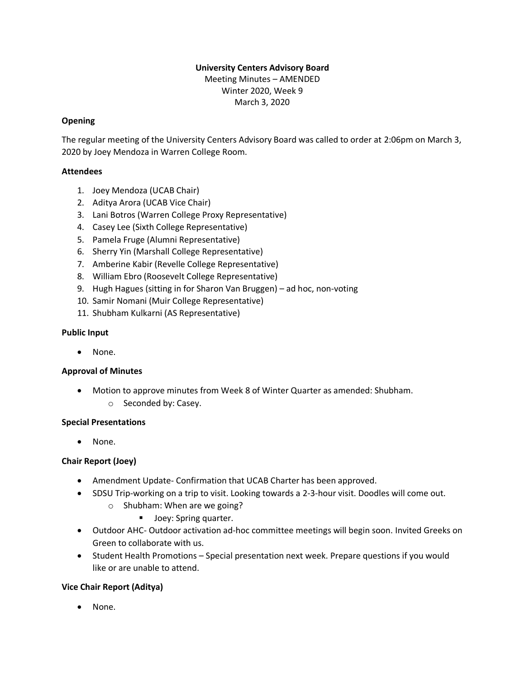# **University Centers Advisory Board**

Meeting Minutes – AMENDED Winter 2020, Week 9 March 3, 2020

### **Opening**

The regular meeting of the University Centers Advisory Board was called to order at 2:06pm on March 3, 2020 by Joey Mendoza in Warren College Room.

### **Attendees**

- 1. Joey Mendoza (UCAB Chair)
- 2. Aditya Arora (UCAB Vice Chair)
- 3. Lani Botros (Warren College Proxy Representative)
- 4. Casey Lee (Sixth College Representative)
- 5. Pamela Fruge (Alumni Representative)
- 6. Sherry Yin (Marshall College Representative)
- 7. Amberine Kabir (Revelle College Representative)
- 8. William Ebro (Roosevelt College Representative)
- 9. Hugh Hagues (sitting in for Sharon Van Bruggen) ad hoc, non-voting
- 10. Samir Nomani (Muir College Representative)
- 11. Shubham Kulkarni (AS Representative)

### **Public Input**

• None.

# **Approval of Minutes**

- Motion to approve minutes from Week 8 of Winter Quarter as amended: Shubham.
	- o Seconded by: Casey.

#### **Special Presentations**

• None.

# **Chair Report (Joey)**

- Amendment Update- Confirmation that UCAB Charter has been approved.
- SDSU Trip-working on a trip to visit. Looking towards a 2-3-hour visit. Doodles will come out.
	- o Shubham: When are we going?
		- Joey: Spring quarter.
- Outdoor AHC- Outdoor activation ad-hoc committee meetings will begin soon. Invited Greeks on Green to collaborate with us.
- Student Health Promotions Special presentation next week. Prepare questions if you would like or are unable to attend.

# **Vice Chair Report (Aditya)**

• None.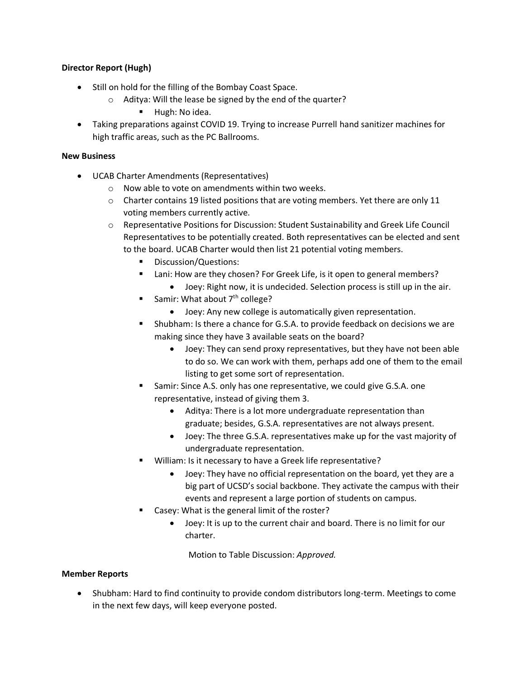# **Director Report (Hugh)**

- Still on hold for the filling of the Bombay Coast Space.
	- o Aditya: Will the lease be signed by the end of the quarter?
		- **■** Hugh: No idea.
- Taking preparations against COVID 19. Trying to increase Purrell hand sanitizer machines for high traffic areas, such as the PC Ballrooms.

#### **New Business**

- UCAB Charter Amendments (Representatives)
	- $\circ$  Now able to vote on amendments within two weeks.
	- $\circ$  Charter contains 19 listed positions that are voting members. Yet there are only 11 voting members currently active.
	- o Representative Positions for Discussion: Student Sustainability and Greek Life Council Representatives to be potentially created. Both representatives can be elected and sent to the board. UCAB Charter would then list 21 potential voting members.
		- Discussion/Questions:
		- Lani: How are they chosen? For Greek Life, is it open to general members?
			- Joey: Right now, it is undecided. Selection process is still up in the air.
		- Samir: What about  $7<sup>th</sup>$  college?
			- Joey: Any new college is automatically given representation.
		- Shubham: Is there a chance for G.S.A. to provide feedback on decisions we are making since they have 3 available seats on the board?
			- Joey: They can send proxy representatives, but they have not been able to do so. We can work with them, perhaps add one of them to the email listing to get some sort of representation.
		- Samir: Since A.S. only has one representative, we could give G.S.A. one representative, instead of giving them 3.
			- Aditya: There is a lot more undergraduate representation than graduate; besides, G.S.A. representatives are not always present.
			- Joey: The three G.S.A. representatives make up for the vast majority of undergraduate representation.
		- William: Is it necessary to have a Greek life representative?
			- Joey: They have no official representation on the board, yet they are a big part of UCSD's social backbone. They activate the campus with their events and represent a large portion of students on campus.
		- Casey: What is the general limit of the roster?
			- Joey: It is up to the current chair and board. There is no limit for our charter.

Motion to Table Discussion: *Approved.*

# **Member Reports**

• Shubham: Hard to find continuity to provide condom distributors long-term. Meetings to come in the next few days, will keep everyone posted.